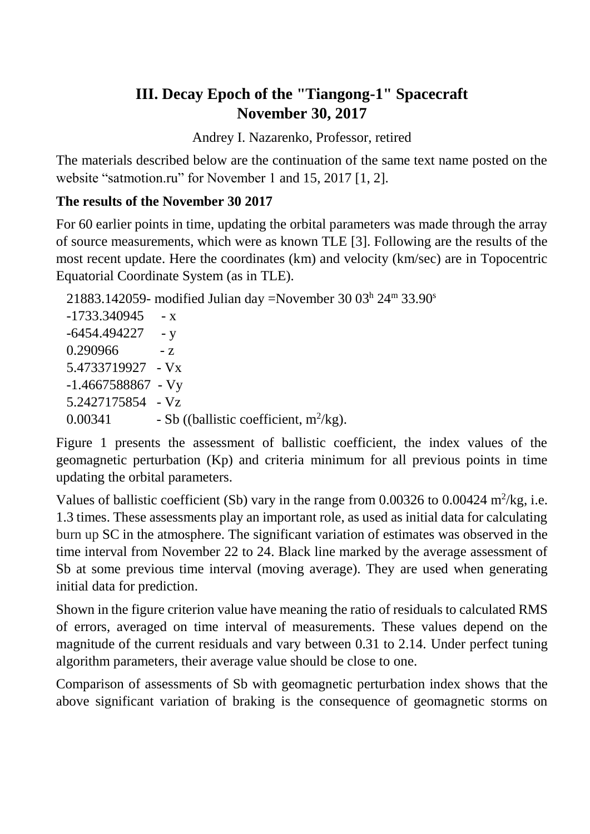## **III. Decay Epoch of the "Tiangong-1" Spacecraft November 30, 2017**

Andrey I. Nazarenko, Professor, retired

The materials described below are the continuation of the same text name posted on the website "satmotion.ru" for November 1 and 15, 2017 [1, 2].

### **The results of the November 30 2017**

For 60 earlier points in time, updating the orbital parameters was made through the array of source measurements, which were as known TLE [3]. Following are the results of the most recent update. Here the coordinates (km) and velocity (km/sec) are in Topocentric Equatorial Coordinate System (as in TLE).

21883.142059- modified Julian day =November 30  $03<sup>h</sup> 24<sup>m</sup> 33.90<sup>s</sup>$  $-1733.340945 - x$  $-6454.494227 - y$  $0.290966 - z$ 5.4733719927 - Vx -1.4667588867 - Vy 5.2427175854 - Vz 0.00341 - Sb ((ballistic coefficient,  $m^2/kg$ ).

Figure 1 presents the assessment of ballistic coefficient, the index values of the geomagnetic perturbation (Kp) and criteria minimum for all previous points in time updating the orbital parameters.

Values of ballistic coefficient (Sb) vary in the range from  $0.00326$  to  $0.00424$  m<sup>2</sup>/kg, i.e. 1.3 times. These assessments play an important role, as used as initial data for calculating burn up SC in the atmosphere. The significant variation of estimates was observed in the time interval from November 22 to 24. Black line marked by the average assessment of Sb at some previous time interval (moving average). They are used when generating initial data for prediction.

Shown in the figure criterion value have meaning the ratio of residuals to calculated RMS of errors, averaged on time interval of measurements. These values depend on the magnitude of the current residuals and vary between 0.31 to 2.14. Under perfect tuning algorithm parameters, their average value should be close to one.

Comparison of assessments of Sb with geomagnetic perturbation index shows that the above significant variation of braking is the consequence of geomagnetic storms on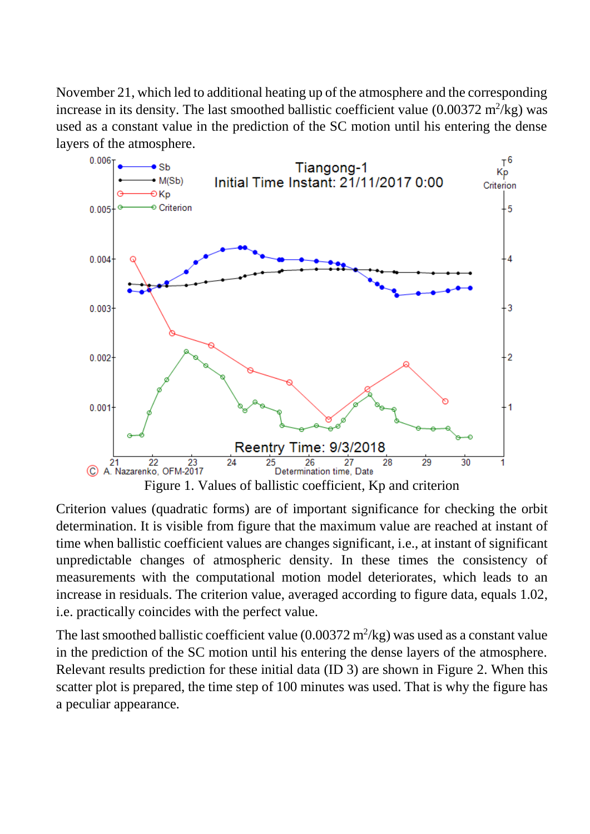November 21, which led to additional heating up of the atmosphere and the corresponding increase in its density. The last smoothed ballistic coefficient value  $(0.00372 \text{ m}^2/\text{kg})$  was used as a constant value in the prediction of the SC motion until his entering the dense layers of the atmosphere.



Criterion values (quadratic forms) are of important significance for checking the orbit determination. It is visible from figure that the maximum value are reached at instant of time when ballistic coefficient values are changes significant, i.e., at instant of significant unpredictable changes of atmospheric density. In these times the consistency of measurements with the computational motion model deteriorates, which leads to an increase in residuals. The criterion value, averaged according to figure data, equals 1.02, i.e. practically coincides with the perfect value.

The last smoothed ballistic coefficient value  $(0.00372 \text{ m}^2/\text{kg})$  was used as a constant value in the prediction of the SC motion until his entering the dense layers of the atmosphere. Relevant results prediction for these initial data (ID 3) are shown in Figure 2. When this scatter plot is prepared, the time step of 100 minutes was used. That is why the figure has a peculiar appearance.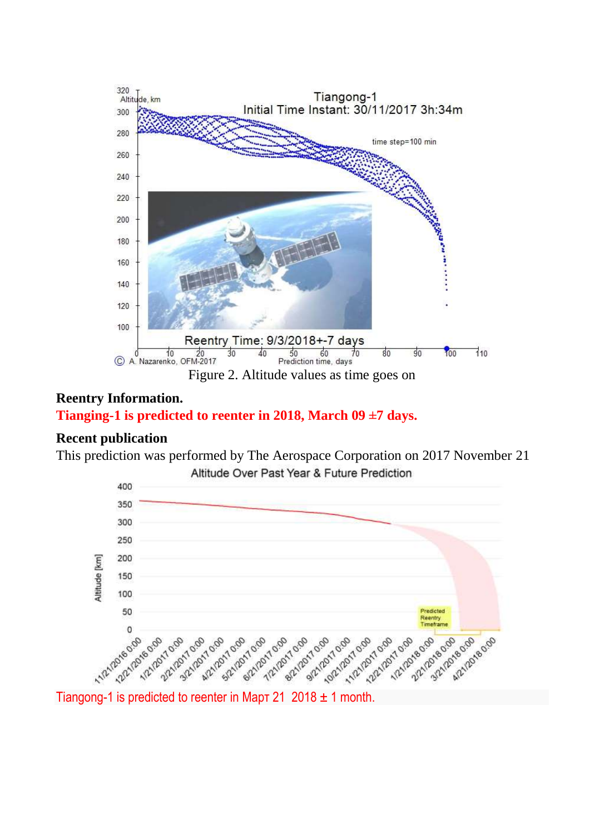

# **Reentry Information.**

## **Tianging-1 is predicted to reenter in 2018, March 09 ±7 days.**

#### **Recent publication**

This prediction was performed by The Aerospace Corporation on 2017 November 21 Altitude Over Past Year & Future Prediction